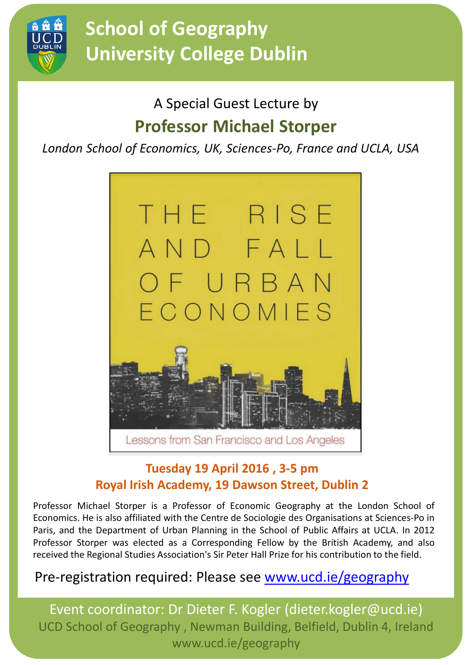

# **School of Geography University College Dublin**

### A Special Guest Lecture by **Professor Michael Storper**

*London School of Economics, UK, Sciences-Po, France and UCLA, USA*



#### **Tuesday 19 April 2016 , 3-5 pm Royal Irish Academy, 19 Dawson Street, Dublin 2**

Professor Michael Storper is a Professor of Economic Geography at the London School of Economics. He is also affiliated with the Centre de Sociologie des Organisations at Sciences-Po in Paris, and the Department of Urban Planning in the School of Public Affairs at UCLA. In 2012 Professor Storper was elected as a Corresponding Fellow by the British Academy, and also received the Regional Studies Association's Sir Peter Hall Prize for his contribution to the field.

### Pre-registration required: Please see www.ucd.ie/geography

Event coordinator: Dr Dieter F. Kogler (dieter.kogler@ucd.ie) UCD School of Geography , Newman Building, Belfield, Dublin 4, Ireland www.ucd.ie/geography